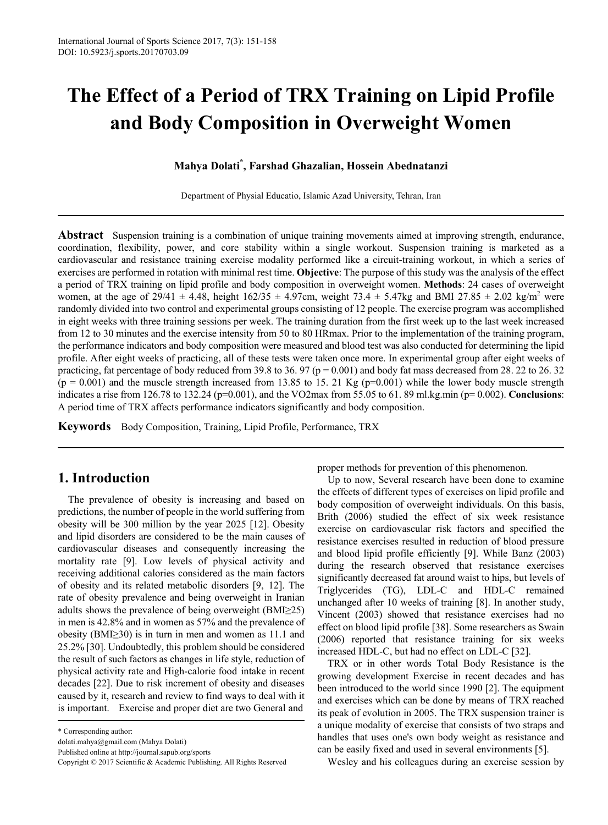# **The Effect of a Period of TRX Training on Lipid Profile and Body Composition in Overweight Women**

#### **Mahya Dolati\* , Farshad Ghazalian, Hossein Abednatanzi**

Department of Physial Educatio, Islamic Azad University, Tehran, Iran

**Abstract** Suspension training is a combination of unique training movements aimed at improving strength, endurance, coordination, flexibility, power, and core stability within a single workout. Suspension training is marketed as a cardiovascular and resistance training exercise modality performed like a circuit-training workout, in which a series of exercises are performed in rotation with minimal rest time. **Objective**: The purpose of this study was the analysis of the effect a period of TRX training on lipid profile and body composition in overweight women. **Methods**: 24 cases of overweight women, at the age of 29/41  $\pm$  4.48, height 162/35  $\pm$  4.97cm, weight 73.4  $\pm$  5.47kg and BMI 27.85  $\pm$  2.02 kg/m<sup>2</sup> were randomly divided into two control and experimental groups consisting of 12 people. The exercise program was accomplished in eight weeks with three training sessions per week. The training duration from the first week up to the last week increased from 12 to 30 minutes and the exercise intensity from 50 to 80 HRmax. Prior to the implementation of the training program, the performance indicators and body composition were measured and blood test was also conducted for determining the lipid profile. After eight weeks of practicing, all of these tests were taken once more. In experimental group after eight weeks of practicing, fat percentage of body reduced from 39.8 to 36. 97 ( $p = 0.001$ ) and body fat mass decreased from 28. 22 to 26. 32  $(p = 0.001)$  and the muscle strength increased from 13.85 to 15. 21 Kg  $(p=0.001)$  while the lower body muscle strength indicates a rise from 126.78 to 132.24 (p=0.001), and the VO2max from 55.05 to 61. 89 ml.kg.min (p= 0.002). **Conclusions**: A period time of TRX affects performance indicators significantly and body composition.

**Keywords** Body Composition, Training, Lipid Profile, Performance, TRX

# **1. Introduction**

The prevalence of obesity is increasing and based on predictions, the number of people in the world suffering from obesity will be 300 million by the year 2025 [12]. Obesity and lipid disorders are considered to be the main causes of cardiovascular diseases and consequently increasing the mortality rate [9]. Low levels of physical activity and receiving additional calories considered as the main factors of obesity and its related metabolic disorders [9, 12]. The rate of obesity prevalence and being overweight in Iranian adults shows the prevalence of being overweight (BMI≥25) in men is 42.8% and in women as 57% and the prevalence of obesity (BMI≥30) is in turn in men and women as 11.1 and 25.2% [30]. Undoubtedly, this problem should be considered the result of such factors as changes in life style, reduction of physical activity rate and High-calorie food intake in recent decades [22]. Due to risk increment of obesity and diseases caused by it, research and review to find ways to deal with it is important. Exercise and proper diet are two General and

dolati.mahya@gmail.com (Mahya Dolati)

Published online at http://journal.sapub.org/sports

proper methods for prevention of this phenomenon.

Up to now, Several research have been done to examine the effects of different types of exercises on lipid profile and body composition of overweight individuals. On this basis, Brith (2006) studied the effect of six week resistance exercise on cardiovascular risk factors and specified the resistance exercises resulted in reduction of blood pressure and blood lipid profile efficiently [9]. While Banz (2003) during the research observed that resistance exercises significantly decreased fat around waist to hips, but levels of Triglycerides (TG), LDL-C and HDL-C remained unchanged after 10 weeks of training [8]. In another study, Vincent (2003) showed that resistance exercises had no effect on blood lipid profile [38]. Some researchers as Swain (2006) reported that resistance training for six weeks increased HDL-C, but had no effect on LDL-C [32].

TRX or in other words Total Body Resistance is the growing development Exercise in recent decades and has been introduced to the world since 1990 [2]. The equipment and exercises which can be done by means of TRX reached its peak of evolution in 2005. The TRX suspension trainer is a unique modality of exercise that consists of two straps and handles that uses one's own body weight as resistance and can be easily fixed and used in several environments [5].

Wesley and his colleagues during an exercise session by

<sup>\*</sup> Corresponding author:

Copyright © 2017 Scientific & Academic Publishing. All Rights Reserved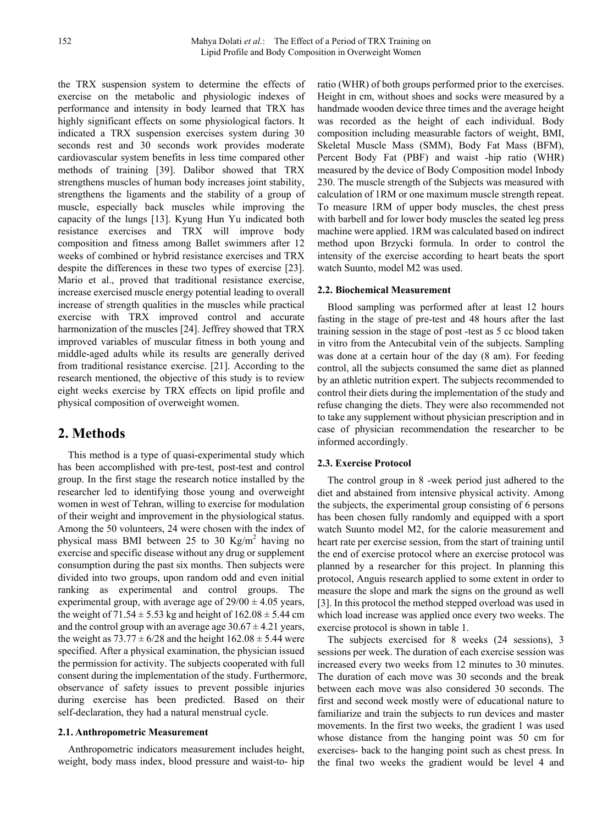the TRX suspension system to determine the effects of exercise on the metabolic and physiologic indexes of performance and intensity in body learned that TRX has highly significant effects on some physiological factors. It indicated a TRX suspension exercises system during 30 seconds rest and 30 seconds work provides moderate cardiovascular system benefits in less time compared other methods of training [39]. Dalibor showed that TRX strengthens muscles of human body increases joint stability, strengthens the ligaments and the stability of a group of muscle, especially back muscles while improving the capacity of the lungs [13]. Kyung Hun Yu indicated both resistance exercises and TRX will improve body composition and fitness among Ballet swimmers after 12 weeks of combined or hybrid resistance exercises and TRX despite the differences in these two types of exercise [23]. Mario et al., proved that traditional resistance exercise, increase exercised muscle energy potential leading to overall increase of strength qualities in the muscles while practical exercise with TRX improved control and accurate harmonization of the muscles [24]. Jeffrey showed that TRX improved variables of muscular fitness in both young and middle-aged adults while its results are generally derived from traditional resistance exercise. [21]. According to the research mentioned, the objective of this study is to review eight weeks exercise by TRX effects on lipid profile and physical composition of overweight women.

# **2. Methods**

This method is a type of quasi-experimental study which has been accomplished with pre-test, post-test and control group. In the first stage the research notice installed by the researcher led to identifying those young and overweight women in west of Tehran, willing to exercise for modulation of their weight and improvement in the physiological status. Among the 50 volunteers, 24 were chosen with the index of physical mass BMI between 25 to 30 Kg/m<sup>2</sup> having no exercise and specific disease without any drug or supplement consumption during the past six months. Then subjects were divided into two groups, upon random odd and even initial ranking as experimental and control groups. The experimental group, with average age of  $29/00 \pm 4.05$  years, the weight of  $71.54 \pm 5.53$  kg and height of  $162.08 \pm 5.44$  cm and the control group with an average age  $30.67 \pm 4.21$  years, the weight as  $73.77 \pm 6/28$  and the height  $162.08 \pm 5.44$  were specified. After a physical examination, the physician issued the permission for activity. The subjects cooperated with full consent during the implementation of the study. Furthermore, observance of safety issues to prevent possible injuries during exercise has been predicted. Based on their self-declaration, they had a natural menstrual cycle.

#### **2.1. Anthropometric Measurement**

Anthropometric indicators measurement includes height, weight, body mass index, blood pressure and waist-to- hip

ratio (WHR) of both groups performed prior to the exercises. Height in cm, without shoes and socks were measured by a handmade wooden device three times and the average height was recorded as the height of each individual. Body composition including measurable factors of weight, BMI, Skeletal Muscle Mass (SMM), Body Fat Mass (BFM), Percent Body Fat (PBF) and waist -hip ratio (WHR) measured by the device of Body Composition model Inbody 230. The muscle strength of the Subjects was measured with calculation of 1RM or one maximum muscle strength repeat. To measure 1RM of upper body muscles, the chest press with barbell and for lower body muscles the seated leg press machine were applied. 1RM was calculated based on indirect method upon Brzycki formula. In order to control the intensity of the exercise according to heart beats the sport watch Suunto, model M2 was used.

#### **2.2. Biochemical Measurement**

Blood sampling was performed after at least 12 hours fasting in the stage of pre-test and 48 hours after the last training session in the stage of post -test as 5 cc blood taken in vitro from the Antecubital vein of the subjects. Sampling was done at a certain hour of the day (8 am). For feeding control, all the subjects consumed the same diet as planned by an athletic nutrition expert. The subjects recommended to control their diets during the implementation of the study and refuse changing the diets. They were also recommended not to take any supplement without physician prescription and in case of physician recommendation the researcher to be informed accordingly.

#### **2.3. Exercise Protocol**

The control group in 8 -week period just adhered to the diet and abstained from intensive physical activity. Among the subjects, the experimental group consisting of 6 persons has been chosen fully randomly and equipped with a sport watch Suunto model M2, for the calorie measurement and heart rate per exercise session, from the start of training until the end of exercise protocol where an exercise protocol was planned by a researcher for this project. In planning this protocol, Anguis research applied to some extent in order to measure the slope and mark the signs on the ground as well [3]. In this protocol the method stepped overload was used in which load increase was applied once every two weeks. The exercise protocol is shown in table 1.

The subjects exercised for 8 weeks (24 sessions), 3 sessions per week. The duration of each exercise session was increased every two weeks from 12 minutes to 30 minutes. The duration of each move was 30 seconds and the break between each move was also considered 30 seconds. The first and second week mostly were of educational nature to familiarize and train the subjects to run devices and master movements. In the first two weeks, the gradient 1 was used whose distance from the hanging point was 50 cm for exercises- back to the hanging point such as chest press. In the final two weeks the gradient would be level 4 and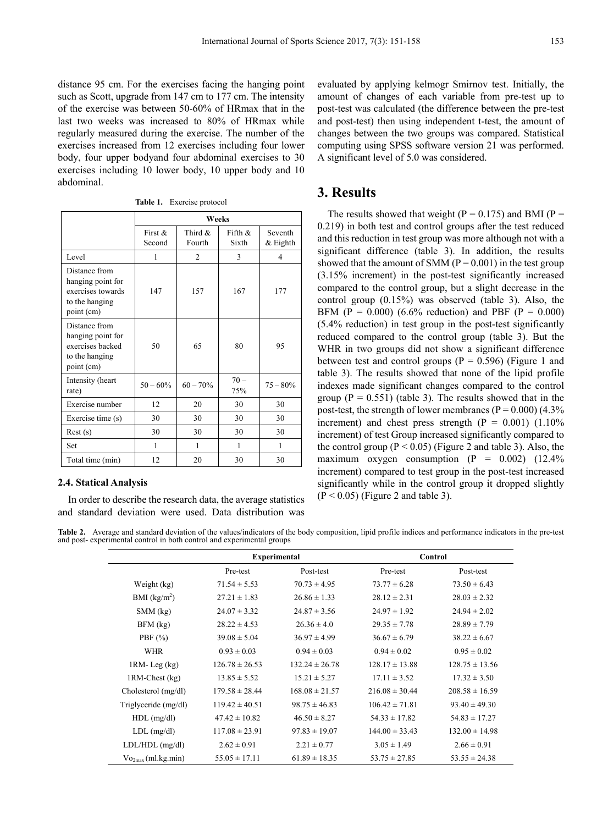distance 95 cm. For the exercises facing the hanging point such as Scott, upgrade from 147 cm to 177 cm. The intensity of the exercise was between 50-60% of HRmax that in the last two weeks was increased to 80% of HRmax while regularly measured during the exercise. The number of the exercises increased from 12 exercises including four lower body, four upper bodyand four abdominal exercises to 30 exercises including 10 lower body, 10 upper body and 10 abdominal.

| Table 1. | Exercise protocol |  |
|----------|-------------------|--|
|----------|-------------------|--|

|                                                                                         | <b>Weeks</b>         |                      |                     |                          |
|-----------------------------------------------------------------------------------------|----------------------|----------------------|---------------------|--------------------------|
|                                                                                         | First $\&$<br>Second | Third $\&$<br>Fourth | Fifth $\&$<br>Sixth | Seventh<br>$&$ Eighth    |
| Level                                                                                   | 1                    | $\overline{2}$       | 3                   | $\overline{\mathcal{L}}$ |
| Distance from<br>hanging point for<br>exercises towards<br>to the hanging<br>point (cm) | 147                  | 157                  | 167                 | 177                      |
| Distance from<br>hanging point for<br>exercises backed<br>to the hanging<br>point (cm)  | 50                   | 65                   | 80                  | 95                       |
| Intensity (heart<br>rate)                                                               | $50 - 60\%$          | $60 - 70%$           | $70 -$<br>75%       | $75 - 80%$               |
| Exercise number                                                                         | 12                   | 20                   | 30                  | 30                       |
| Exercise time (s)                                                                       | 30                   | 30                   | 30                  | 30                       |
| Rest(s)                                                                                 | 30                   | 30                   | 30                  | 30                       |
| <b>Set</b>                                                                              | 1                    | 1                    | 1                   | 1                        |
| Total time (min)                                                                        | 12                   | 20                   | 30                  | 30                       |

#### **2.4. Statical Analysis**

In order to describe the research data, the average statistics and standard deviation were used. Data distribution was

evaluated by applying kelmogr Smirnov test. Initially, the amount of changes of each variable from pre-test up to post-test was calculated (the difference between the pre-test and post-test) then using independent t-test, the amount of changes between the two groups was compared. Statistical computing using SPSS software version 21 was performed. A significant level of 5.0 was considered.

#### **3. Results**

The results showed that weight ( $P = 0.175$ ) and BMI ( $P =$ 0.219) in both test and control groups after the test reduced and this reduction in test group was more although not with a significant difference (table 3). In addition, the results showed that the amount of SMM ( $P = 0.001$ ) in the test group (3.15% increment) in the post-test significantly increased compared to the control group, but a slight decrease in the control group (0.15%) was observed (table 3). Also, the BFM (P = 0.000) (6.6% reduction) and PBF (P = 0.000) (5.4% reduction) in test group in the post-test significantly reduced compared to the control group (table 3). But the WHR in two groups did not show a significant difference between test and control groups ( $P = 0.596$ ) (Figure 1 and table 3). The results showed that none of the lipid profile indexes made significant changes compared to the control group  $(P = 0.551)$  (table 3). The results showed that in the post-test, the strength of lower membranes ( $P = 0.000$ ) (4.3%) increment) and chest press strength  $(P = 0.001)$  (1.10%) increment) of test Group increased significantly compared to the control group ( $P < 0.05$ ) (Figure 2 and table 3). Also, the maximum oxygen consumption  $(P = 0.002)$   $(12.4\%$ increment) compared to test group in the post-test increased significantly while in the control group it dropped slightly  $(P < 0.05)$  (Figure 2 and table 3).

Table 2. Average and standard deviation of the values/indicators of the body composition, lipid profile indices and performance indicators in the pre-test and post- experimental control in both control and experimental groups

|                          | <b>Experimental</b> |                    | Control            |                    |
|--------------------------|---------------------|--------------------|--------------------|--------------------|
|                          | Pre-test            | Post-test          | Pre-test           | Post-test          |
| Weight (kg)              | $71.54 \pm 5.53$    | $70.73 \pm 4.95$   | $73.77 \pm 6.28$   | $73.50 \pm 6.43$   |
| BMI (kg/m <sup>2</sup> ) | $27.21 \pm 1.83$    | $26.86 \pm 1.33$   | $28.12 \pm 2.31$   | $28.03 \pm 2.32$   |
| $SMM$ (kg)               | $24.07 \pm 3.32$    | $24.87 \pm 3.56$   | $24.97 \pm 1.92$   | $24.94 \pm 2.02$   |
| $BFM$ (kg)               | $28.22 \pm 4.53$    | $26.36 \pm 4.0$    | $29.35 \pm 7.78$   | $28.89 \pm 7.79$   |
| PBF $(\% )$              | $39.08 \pm 5.04$    | $36.97 \pm 4.99$   | $36.67 \pm 6.79$   | $38.22 \pm 6.67$   |
| <b>WHR</b>               | $0.93 \pm 0.03$     | $0.94 \pm 0.03$    | $0.94 \pm 0.02$    | $0.95 \pm 0.02$    |
| $1RM$ - Leg $(kg)$       | $126.78 \pm 26.53$  | $132.24 \pm 26.78$ | $128.17 \pm 13.88$ | $128.75 \pm 13.56$ |
| 1RM-Chest (kg)           | $13.85 \pm 5.52$    | $15.21 \pm 5.27$   | $17.11 \pm 3.52$   | $17.32 \pm 3.50$   |
| Cholesterol (mg/dl)      | $179.58 \pm 28.44$  | $168.08 \pm 21.57$ | $216.08 \pm 30.44$ | $208.58 \pm 16.59$ |
| Triglyceride (mg/dl)     | $119.42 \pm 40.51$  | $98.75 \pm 46.83$  | $106.42 \pm 71.81$ | $93.40 \pm 49.30$  |
| $HDL$ (mg/dl)            | $47.42 \pm 10.82$   | $46.50 \pm 8.27$   | $54.33 \pm 17.82$  | $54.83 \pm 17.27$  |
| $LDL$ (mg/dl)            | $117.08 \pm 23.91$  | $97.83 \pm 19.07$  | $144.00 \pm 33.43$ | $132.00 \pm 14.98$ |
| $LDL/HDL$ (mg/dl)        | $2.62 \pm 0.91$     | $2.21 \pm 0.77$    | $3.05 \pm 1.49$    | $2.66 \pm 0.91$    |
| $Vo_{2max}(ml.kg.min)$   | $55.05 \pm 17.11$   | $61.89 \pm 18.35$  | $53.75 \pm 27.85$  | $53.55 \pm 24.38$  |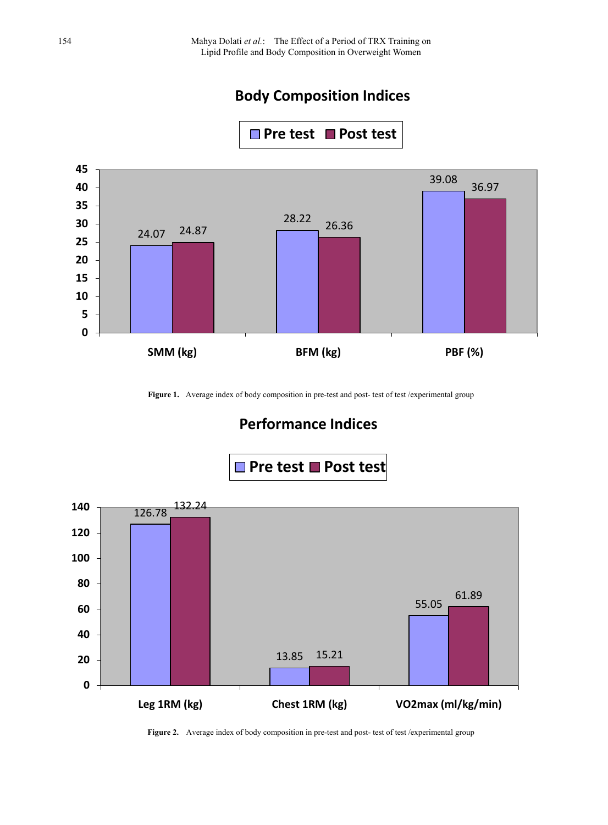# **Body Composition Indices**

■ Pre test ■ Post test



Figure 1. Average index of body composition in pre-test and post- test of test /experimental group

# **Performance Indices**



Figure 2. Average index of body composition in pre-test and post- test of test /experimental group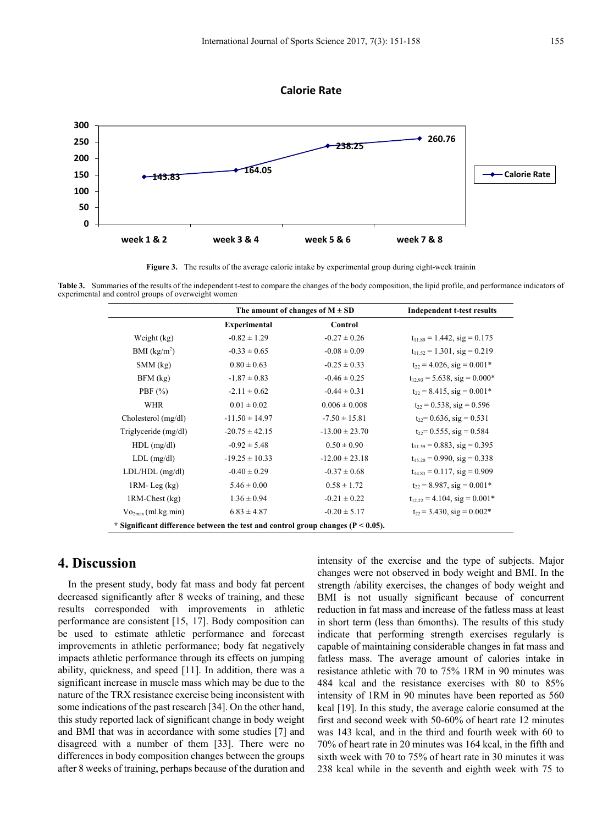#### **Calorie Rate**



**Figure 3.** The results of the average calorie intake by experimental group during eight-week trainin

**Table 3.** Summaries of the results of the independent t-test to compare the changes of the body composition, the lipid profile, and performance indicators of experimental and control groups of overweight women

|                                                                                     | The amount of changes of $M \pm SD$ |                    | <b>Independent t-test results</b>  |  |  |
|-------------------------------------------------------------------------------------|-------------------------------------|--------------------|------------------------------------|--|--|
|                                                                                     | Experimental                        | Control            |                                    |  |  |
| Weight (kg)                                                                         | $-0.82 \pm 1.29$                    | $-0.27 \pm 0.26$   | $t_{11.89} = 1.442$ , sig = 0.175  |  |  |
| BMI (kg/m <sup>2</sup> )                                                            | $-0.33 \pm 0.65$                    | $-0.08 \pm 0.09$   | $t_{11.52} = 1.301$ , sig = 0.219  |  |  |
| $SMM$ (kg)                                                                          | $0.80 \pm 0.63$                     | $-0.25 \pm 0.33$   | $t_{22} = 4.026$ , sig = $0.001*$  |  |  |
| $BFM$ (kg)                                                                          | $-1.87 \pm 0.83$                    | $-0.46 \pm 0.25$   | $t_{12.93} = 5.638$ , sig = 0.000* |  |  |
| PBF $(\% )$                                                                         | $-2.11 \pm 0.62$                    | $-0.44 \pm 0.31$   | $t_{22} = 8.415$ , sig = 0.001*    |  |  |
| <b>WHR</b>                                                                          | $0.01 \pm 0.02$                     | $0.006 \pm 0.008$  | $t_{22} = 0.538$ , sig = 0.596     |  |  |
| Cholesterol (mg/dl)                                                                 | $-11.50 \pm 14.97$                  | $-7.50 \pm 15.81$  | $t_{22}$ = 0.636, sig = 0.531      |  |  |
| Triglyceride (mg/dl)                                                                | $-20.75 \pm 42.15$                  | $-13.00 \pm 23.70$ | $t_{22}$ = 0.555, sig = 0.584      |  |  |
| $HDL$ (mg/dl)                                                                       | $-0.92 \pm 5.48$                    | $0.50 \pm 0.90$    | $t_{11.59} = 0.883$ , sig = 0.395  |  |  |
| $LDL$ (mg/dl)                                                                       | $-19.25 \pm 10.33$                  | $-12.00 \pm 23.18$ | $t_{15,20} = 0.990$ , sig = 0.338  |  |  |
| $LDL/HDL$ (mg/dl)                                                                   | $-0.40 \pm 0.29$                    | $-0.37 \pm 0.68$   | $t_{14.83} = 0.117$ , sig = 0.909  |  |  |
| $1RM$ - Leg $(kg)$                                                                  | $5.46 \pm 0.00$                     | $0.58 \pm 1.72$    | $t_{22}$ = 8.987, sig = 0.001*     |  |  |
| 1RM-Chest (kg)                                                                      | $1.36 \pm 0.94$                     | $-0.21 \pm 0.22$   | $t_{12,22} = 4.104$ , sig = 0.001* |  |  |
| $Vo_{2max}(ml.kg.min)$                                                              | $6.83 \pm 4.87$                     | $-0.20 \pm 5.17$   | $t_{22}$ = 3.430, sig = 0.002*     |  |  |
| * Significant difference between the test and control group changes ( $P < 0.05$ ). |                                     |                    |                                    |  |  |

## **4. Discussion**

In the present study, body fat mass and body fat percent decreased significantly after 8 weeks of training, and these results corresponded with improvements in athletic performance are consistent [15, 17]. Body composition can be used to estimate athletic performance and forecast improvements in athletic performance; body fat negatively impacts athletic performance through its effects on jumping ability, quickness, and speed [11]. In addition, there was a significant increase in muscle mass which may be due to the nature of the TRX resistance exercise being inconsistent with some indications of the past research [34]. On the other hand, this study reported lack of significant change in body weight and BMI that was in accordance with some studies [7] and disagreed with a number of them [33]. There were no differences in body composition changes between the groups after 8 weeks of training, perhaps because of the duration and

intensity of the exercise and the type of subjects. Major changes were not observed in body weight and BMI. In the strength /ability exercises, the changes of body weight and BMI is not usually significant because of concurrent reduction in fat mass and increase of the fatless mass at least in short term (less than 6months). The results of this study indicate that performing strength exercises regularly is capable of maintaining considerable changes in fat mass and fatless mass. The average amount of calories intake in resistance athletic with 70 to 75% 1RM in 90 minutes was 484 kcal and the resistance exercises with 80 to 85% intensity of 1RM in 90 minutes have been reported as 560 kcal [19]. In this study, the average calorie consumed at the first and second week with 50-60% of heart rate 12 minutes was 143 kcal, and in the third and fourth week with 60 to 70% of heart rate in 20 minutes was 164 kcal, in the fifth and sixth week with 70 to 75% of heart rate in 30 minutes it was 238 kcal while in the seventh and eighth week with 75 to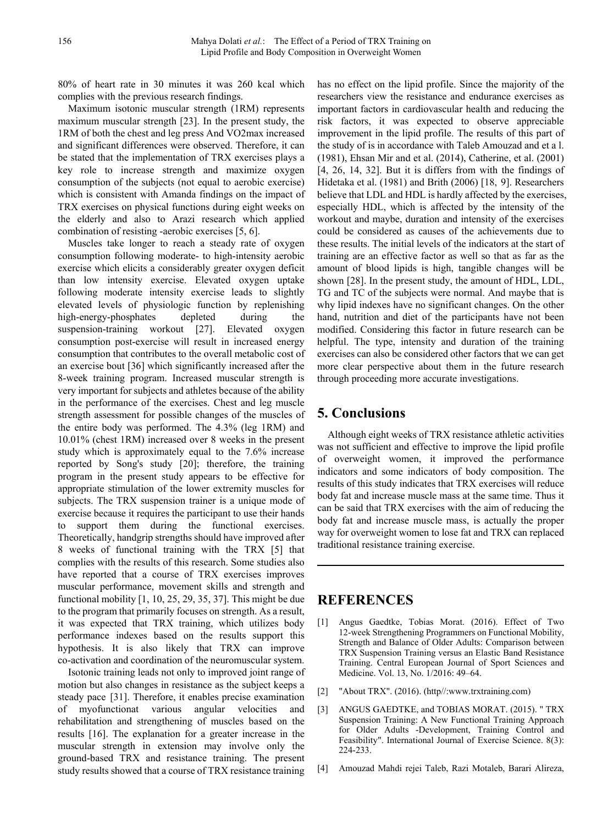80% of heart rate in 30 minutes it was 260 kcal which complies with the previous research findings.

Maximum isotonic muscular strength (1RM) represents maximum muscular strength [23]. In the present study, the 1RM of both the chest and leg press And VO2max increased and significant differences were observed. Therefore, it can be stated that the implementation of TRX exercises plays a key role to increase strength and maximize oxygen consumption of the subjects (not equal to aerobic exercise) which is consistent with Amanda findings on the impact of TRX exercises on physical functions during eight weeks on the elderly and also to Arazi research which applied combination of resisting -aerobic exercises [5, 6].

Muscles take longer to reach a steady rate of oxygen consumption following moderate- to high-intensity aerobic exercise which elicits a considerably greater oxygen deficit than low intensity exercise. Elevated oxygen uptake following moderate intensity exercise leads to slightly elevated levels of physiologic function by replenishing high-energy-phosphates depleted during the suspension-training workout [27]. Elevated oxygen consumption post-exercise will result in increased energy consumption that contributes to the overall metabolic cost of an exercise bout [36] which significantly increased after the 8-week training program. Increased muscular strength is very important for subjects and athletes because of the ability in the performance of the exercises. Chest and leg muscle strength assessment for possible changes of the muscles of the entire body was performed. The 4.3% (leg 1RM) and 10.01% (chest 1RM) increased over 8 weeks in the present study which is approximately equal to the 7.6% increase reported by Song's study [20]; therefore, the training program in the present study appears to be effective for appropriate stimulation of the lower extremity muscles for subjects. The TRX suspension trainer is a unique mode of exercise because it requires the participant to use their hands to support them during the functional exercises. Theoretically, handgrip strengths should have improved after 8 weeks of functional training with the TRX [5] that complies with the results of this research. Some studies also have reported that a course of TRX exercises improves muscular performance, movement skills and strength and functional mobility [1, 10, 25, 29, 35, 37]. This might be due to the program that primarily focuses on strength. As a result, it was expected that TRX training, which utilizes body performance indexes based on the results support this hypothesis. It is also likely that TRX can improve co-activation and coordination of the neuromuscular system.

Isotonic training leads not only to improved joint range of motion but also changes in resistance as the subject keeps a steady pace [31]. Therefore, it enables precise examination of myofunctionat various angular velocities and rehabilitation and strengthening of muscles based on the results [16]. The explanation for a greater increase in the muscular strength in extension may involve only the ground-based TRX and resistance training. The present study results showed that a course of TRX resistance training

has no effect on the lipid profile. Since the majority of the researchers view the resistance and endurance exercises as important factors in cardiovascular health and reducing the risk factors, it was expected to observe appreciable improvement in the lipid profile. The results of this part of the study of is in accordance with Taleb Amouzad and et a l. (1981), Ehsan Mir and et al. (2014), Catherine, et al. (2001) [4, 26, 14, 32]. But it is differs from with the findings of Hidetaka et al. (1981) and Brith (2006) [18, 9]. Researchers believe that LDL and HDL is hardly affected by the exercises, especially HDL, which is affected by the intensity of the workout and maybe, duration and intensity of the exercises could be considered as causes of the achievements due to these results. The initial levels of the indicators at the start of training are an effective factor as well so that as far as the amount of blood lipids is high, tangible changes will be shown [28]. In the present study, the amount of HDL, LDL, TG and TC of the subjects were normal. And maybe that is why lipid indexes have no significant changes. On the other hand, nutrition and diet of the participants have not been modified. Considering this factor in future research can be helpful. The type, intensity and duration of the training exercises can also be considered other factors that we can get more clear perspective about them in the future research through proceeding more accurate investigations.

### **5. Conclusions**

Although eight weeks of TRX resistance athletic activities was not sufficient and effective to improve the lipid profile of overweight women, it improved the performance indicators and some indicators of body composition. The results of this study indicates that TRX exercises will reduce body fat and increase muscle mass at the same time. Thus it can be said that TRX exercises with the aim of reducing the body fat and increase muscle mass, is actually the proper way for overweight women to lose fat and TRX can replaced traditional resistance training exercise.

# **REFERENCES**

- [1] Angus Gaedtke, Tobias Morat. (2016). Effect of Two 12-week Strengthening Programmers on Functional Mobility, Strength and Balance of Older Adults: Comparison between TRX Suspension Training versus an Elastic Band Resistance Training. Central European Journal of Sport Sciences and Medicine. Vol. 13, No. 1/2016: 49–64.
- [2] "About TRX". (2016). (http//:www.trxtraining.com)
- [3] ANGUS GAEDTKE, and TOBIAS MORAT. (2015). " TRX Suspension Training: A New Functional Training Approach for Older Adults -Development, Training Control and Feasibility". International Journal of Exercise Science. 8(3): 224-233.
- [4] Amouzad Mahdi rejei Taleb, Razi Motaleb, Barari Alireza,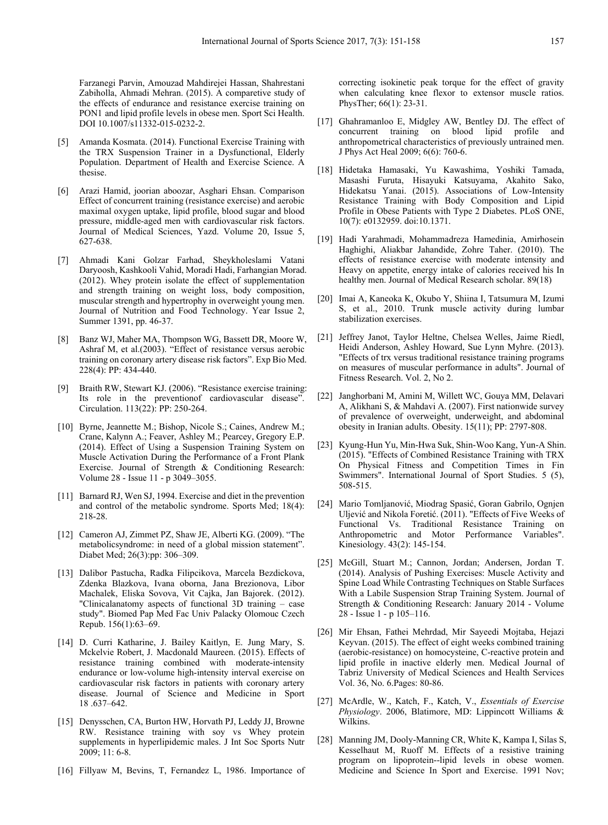Farzanegi Parvin, Amouzad Mahdirejei Hassan, Shahrestani Zabiholla, Ahmadi Mehran. (2015). A comparetive study of the effects of endurance and resistance exercise training on PON1 and lipid profile levels in obese men. Sport Sci Health. DOI 10.1007/s11332-015-0232-2.

- [5] Amanda Kosmata. (2014). Functional Exercise Training with the TRX Suspension Trainer in a Dysfunctional, Elderly Population. Department of Health and Exercise Science. A thesise.
- [6] Arazi Hamid, joorian aboozar, Asghari Ehsan. Comparison Effect of concurrent training (resistance exercise) and aerobic maximal oxygen uptake, lipid profile, blood sugar and blood pressure, middle-aged men with cardiovascular risk factors. Journal of Medical Sciences, Yazd. Volume 20, Issue 5, 627-638.
- [7] Ahmadi Kani Golzar Farhad, Sheykholeslami Vatani Daryoosh, Kashkooli Vahid, Moradi Hadi, Farhangian Morad. (2012). Whey protein isolate the effect of supplementation and strength training on weight loss, body composition, muscular strength and hypertrophy in overweight young men. Journal of Nutrition and Food Technology. Year Issue 2, Summer 1391, pp. 46-37.
- [8] Banz WJ, Maher MA, Thompson WG, Bassett DR, Moore W, Ashraf M, et al.(2003). "Effect of resistance versus aerobic training on coronary artery disease risk factors". Exp Bio Med. 228(4): PP: 434-440.
- [9] Braith RW, Stewart KJ. (2006). "Resistance exercise training: Its role in the preventionof cardiovascular disease". Circulation. 113(22): PP: 250-264.
- [10] Byrne, Jeannette M.; Bishop, Nicole S.; Caines, Andrew M.; Crane, Kalynn A.; Feaver, Ashley M.; Pearcey, Gregory E.P. (2014). Effect of Using a Suspension Training System on Muscle Activation During the Performance of a Front Plank Exercise. Journal of Strength & Conditioning Research: Volume 28 - Issue 11 - p 3049–3055.
- [11] Barnard RJ, Wen SJ, 1994. Exercise and diet in the prevention and control of the metabolic syndrome. Sports Med; 18(4): 218-28.
- [12] Cameron AJ, Zimmet PZ, Shaw JE, Alberti KG. (2009). "The metabolicsyndrome: in need of a global mission statement". Diabet Med; 26(3):pp: 306–309.
- [13] Dalibor Pastucha, Radka Filipcikova, Marcela Bezdickova, Zdenka Blazkova, Ivana oborna, Jana Brezionova, Libor Machalek, Eliska Sovova, Vit Cajka, Jan Bajorek. (2012). "Clinicalanatomy aspects of functional 3D training – case study". Biomed Pap Med Fac Univ Palacky Olomouc Czech Repub. 156(1):63–69.
- [14] D. Curri Katharine, J. Bailey Kaitlyn, E. Jung Mary, S. Mckelvie Robert, J. Macdonald Maureen. (2015). Effects of resistance training combined with moderate-intensity endurance or low-volume high-intensity interval exercise on cardiovascular risk factors in patients with coronary artery disease. Journal of Science and Medicine in Sport 18 .637–642.
- [15] Denysschen, CA, Burton HW, Horvath PJ, Leddy JJ, Browne RW. Resistance training with soy vs Whey protein supplements in hyperlipidemic males. J Int Soc Sports Nutr 2009; 11: 6-8.
- [16] Fillyaw M, Bevins, T, Fernandez L, 1986. Importance of

correcting isokinetic peak torque for the effect of gravity when calculating knee flexor to extensor muscle ratios. PhysTher; 66(1): 23-31.

- [17] Ghahramanloo E, Midgley AW, Bentley DJ. The effect of concurrent training on blood lipid profile and anthropometrical characteristics of previously untrained men. J Phys Act Heal 2009; 6(6): 760-6.
- [18] Hidetaka Hamasaki, Yu Kawashima, Yoshiki Tamada, Masashi Furuta, Hisayuki Katsuyama, Akahito Sako, Hidekatsu Yanai. (2015). Associations of Low-Intensity Resistance Training with Body Composition and Lipid Profile in Obese Patients with Type 2 Diabetes. PLoS ONE, 10(7): e0132959. doi:10.1371.
- [19] Hadi Yarahmadi, Mohammadreza Hamedinia, Amirhosein Haghighi, Aliakbar Jahandide, Zohre Taher. (2010). The effects of resistance exercise with moderate intensity and Heavy on appetite, energy intake of calories received his In healthy men. Journal of Medical Research scholar. 89(18)
- [20] Imai A, Kaneoka K, Okubo Y, Shiina I, Tatsumura M, Izumi S, et al., 2010. Trunk muscle activity during lumbar stabilization exercises.
- [21] Jeffrey Janot, Taylor Heltne, Chelsea Welles, Jaime Riedl, Heidi Anderson, Ashley Howard, Sue Lynn Myhre. (2013). "Effects of trx versus traditional resistance training programs on measures of muscular performance in adults". Journal of Fitness Research. Vol. 2, No 2.
- [22] Janghorbani M, Amini M, Willett WC, Gouya MM, Delavari A, Alikhani S, & Mahdavi A. (2007). First nationwide survey of prevalence of overweight, underweight, and abdominal obesity in Iranian adults. Obesity. 15(11); PP: 2797-808.
- [23] Kyung-Hun Yu, Min-Hwa Suk, Shin-Woo Kang, Yun-A Shin. (2015). "Effects of Combined Resistance Training with TRX On Physical Fitness and Competition Times in Fin Swimmers". International Journal of Sport Studies. 5 (5), 508-515.
- [24] Mario Tomljanović, Miodrag Spasić, Goran Gabrilo, Ognjen Uljević and Nikola Foretić. (2011). "Effects of Five Weeks of Functional Vs. Traditional Resistance Training on Anthropometric and Motor Performance Variables". Kinesiology. 43(2): 145-154.
- [25] McGill, Stuart M.; Cannon, Jordan; Andersen, Jordan T. (2014). Analysis of Pushing Exercises: Muscle Activity and Spine Load While Contrasting Techniques on Stable Surfaces With a Labile Suspension Strap Training System. Journal of Strength & Conditioning Research: January 2014 - Volume 28 - Issue 1 - p 105–116.
- [26] Mir Ehsan, Fathei Mehrdad, Mir Sayeedi Mojtaba, Hejazi Keyvan. (2015). The effect of eight weeks combined training (aerobic-resistance) on homocysteine, C-reactive protein and lipid profile in inactive elderly men. Medical Journal of Tabriz University of Medical Sciences and Health Services Vol. 36, No. 6.Pages: 80-86.
- [27] McArdle, W., Katch, F., Katch, V., *Essentials of Exercise Physiology*. 2006, Blatimore, MD: Lippincott Williams & Wilkins.
- [28] Manning JM, Dooly-Manning CR, White K, Kampa I, Silas S, Kesselhaut M, Ruoff M. Effects of a resistive training program on lipoprotein--lipid levels in obese women. Medicine and Science In Sport and Exercise. 1991 Nov;